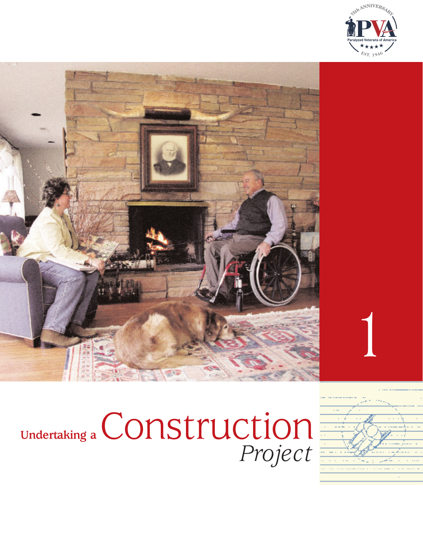



## **Undertaking a** *Project* Construction